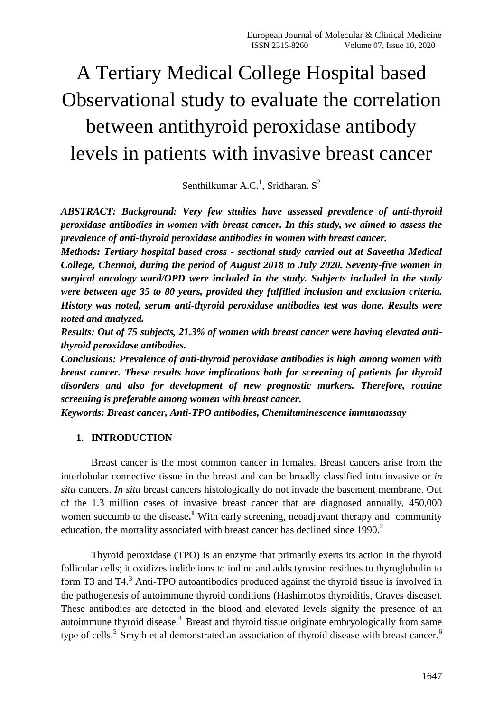# A Tertiary Medical College Hospital based Observational study to evaluate the correlation between antithyroid peroxidase antibody levels in patients with invasive breast cancer

Senthilkumar A.C.<sup>1</sup>, Sridharan. S<sup>2</sup>

*ABSTRACT: Background: Very few studies have assessed prevalence of anti-thyroid peroxidase antibodies in women with breast cancer. In this study, we aimed to assess the prevalence of anti-thyroid peroxidase antibodies in women with breast cancer.*

*Methods: Tertiary hospital based cross - sectional study carried out at Saveetha Medical College, Chennai, during the period of August 2018 to July 2020. Seventy-five women in surgical oncology ward/OPD were included in the study. Subjects included in the study were between age 35 to 80 years, provided they fulfilled inclusion and exclusion criteria. History was noted, serum anti-thyroid peroxidase antibodies test was done. Results were noted and analyzed.* 

*Results: Out of 75 subjects, 21.3% of women with breast cancer were having elevated antithyroid peroxidase antibodies.*

*Conclusions: Prevalence of anti-thyroid peroxidase antibodies is high among women with breast cancer. These results have implications both for screening of patients for thyroid disorders and also for development of new prognostic markers. Therefore, routine screening is preferable among women with breast cancer.*

*Keywords: Breast cancer, Anti-TPO antibodies, Chemiluminescence immunoassay*

## **1. INTRODUCTION**

Breast cancer is the most common cancer in females. Breast cancers arise from the interlobular connective tissue in the breast and can be broadly classified into invasive or *in situ* cancers. *In situ* breast cancers histologically do not invade the basement membrane. Out of the 1.3 million cases of invasive breast cancer that are diagnosed annually, 450,000 women succumb to the disease.<sup>1</sup> With early screening, neoadjuvant therapy and community education, the mortality associated with breast cancer has declined since  $1990.<sup>2</sup>$ 

Thyroid peroxidase (TPO) is an enzyme that primarily exerts its action in the thyroid follicular cells; it oxidizes iodide ions to iodine and adds tyrosine residues to thyroglobulin to form T3 and T4.<sup>3</sup> Anti-TPO autoantibodies produced against the thyroid tissue is involved in the pathogenesis of autoimmune thyroid conditions (Hashimotos thyroiditis, Graves disease). These antibodies are detected in the blood and elevated levels signify the presence of an autoimmune thyroid disease.<sup>4</sup> Breast and thyroid tissue originate embryologically from same type of cells.<sup>5</sup> Smyth et al demonstrated an association of thyroid disease with breast cancer.<sup>6</sup>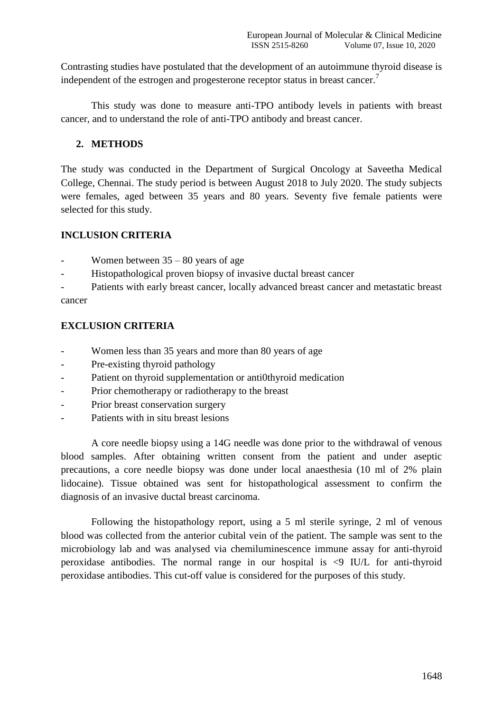Contrasting studies have postulated that the development of an autoimmune thyroid disease is independent of the estrogen and progesterone receptor status in breast cancer.<sup>7</sup>

This study was done to measure anti-TPO antibody levels in patients with breast cancer, and to understand the role of anti-TPO antibody and breast cancer.

## **2. METHODS**

The study was conducted in the Department of Surgical Oncology at Saveetha Medical College, Chennai. The study period is between August 2018 to July 2020. The study subjects were females, aged between 35 years and 80 years. Seventy five female patients were selected for this study.

## **INCLUSION CRITERIA**

- Women between  $35 80$  years of age
- Histopathological proven biopsy of invasive ductal breast cancer

Patients with early breast cancer, locally advanced breast cancer and metastatic breast cancer

# **EXCLUSION CRITERIA**

- Women less than 35 years and more than 80 years of age
- Pre-existing thyroid pathology
- Patient on thyroid supplementation or anti0thyroid medication
- Prior chemotherapy or radiotherapy to the breast
- Prior breast conservation surgery
- Patients with in situ breast lesions

A core needle biopsy using a 14G needle was done prior to the withdrawal of venous blood samples. After obtaining written consent from the patient and under aseptic precautions, a core needle biopsy was done under local anaesthesia (10 ml of 2% plain lidocaine). Tissue obtained was sent for histopathological assessment to confirm the diagnosis of an invasive ductal breast carcinoma.

Following the histopathology report, using a 5 ml sterile syringe, 2 ml of venous blood was collected from the anterior cubital vein of the patient. The sample was sent to the microbiology lab and was analysed via chemiluminescence immune assay for anti-thyroid peroxidase antibodies. The normal range in our hospital is  $\leq$  IU/L for anti-thyroid peroxidase antibodies. This cut-off value is considered for the purposes of this study.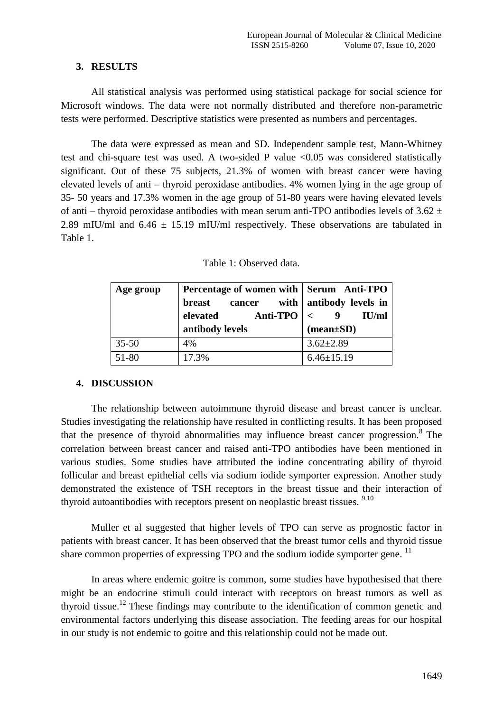# **3. RESULTS**

All statistical analysis was performed using statistical package for social science for Microsoft windows. The data were not normally distributed and therefore non-parametric tests were performed. Descriptive statistics were presented as numbers and percentages.

The data were expressed as mean and SD. Independent sample test, Mann-Whitney test and chi-square test was used. A two-sided P value <0.05 was considered statistically significant. Out of these 75 subjects, 21.3% of women with breast cancer were having elevated levels of anti – thyroid peroxidase antibodies. 4% women lying in the age group of 35- 50 years and 17.3% women in the age group of 51-80 years were having elevated levels of anti – thyroid peroxidase antibodies with mean serum anti-TPO antibodies levels of  $3.62 \pm$ 2.89 mIU/ml and  $6.46 \pm 15.19$  mIU/ml respectively. These observations are tabulated in Table 1.

|  | Table 1: Observed data. |  |
|--|-------------------------|--|
|--|-------------------------|--|

| Age group | Percentage of women with Serum Anti-TPO |                                |
|-----------|-----------------------------------------|--------------------------------|
|           | breast<br>cancer                        | with   antibody levels in      |
|           | <b>Anti-TPO</b><br>elevated             | IU/ml                          |
|           | antibody levels                         | $(\text{mean}\pm S\textbf{D})$ |
|           |                                         |                                |
| $35 - 50$ | 4%                                      | $3.62 \pm 2.89$                |

## **4. DISCUSSION**

The relationship between autoimmune thyroid disease and breast cancer is unclear. Studies investigating the relationship have resulted in conflicting results. It has been proposed that the presence of thyroid abnormalities may influence breast cancer progression.<sup>8</sup> The correlation between breast cancer and raised anti-TPO antibodies have been mentioned in various studies. Some studies have attributed the iodine concentrating ability of thyroid follicular and breast epithelial cells via sodium iodide symporter expression. Another study demonstrated the existence of TSH receptors in the breast tissue and their interaction of thyroid autoantibodies with receptors present on neoplastic breast tissues.  $9,10$ 

Muller et al suggested that higher levels of TPO can serve as prognostic factor in patients with breast cancer. It has been observed that the breast tumor cells and thyroid tissue share common properties of expressing TPO and the sodium iodide symporter gene.<sup>11</sup>

In areas where endemic goitre is common, some studies have hypothesised that there might be an endocrine stimuli could interact with receptors on breast tumors as well as thyroid tissue.<sup>12</sup> These findings may contribute to the identification of common genetic and environmental factors underlying this disease association. The feeding areas for our hospital in our study is not endemic to goitre and this relationship could not be made out.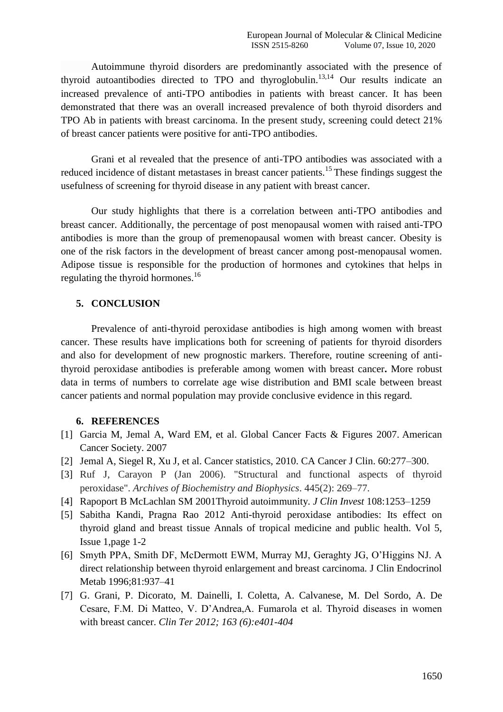Autoimmune thyroid disorders are predominantly associated with the presence of thyroid autoantibodies directed to TPO and thyroglobulin.<sup>13,14</sup> Our results indicate an increased prevalence of anti-TPO antibodies in patients with breast cancer. It has been demonstrated that there was an overall increased prevalence of both thyroid disorders and TPO Ab in patients with breast carcinoma. In the present study, screening could detect 21% of breast cancer patients were positive for anti-TPO antibodies.

Grani et al revealed that the presence of anti-TPO antibodies was associated with a reduced incidence of distant metastases in breast cancer patients.<sup>15</sup> These findings suggest the usefulness of screening for thyroid disease in any patient with breast cancer.

Our study highlights that there is a correlation between anti-TPO antibodies and breast cancer. Additionally, the percentage of post menopausal women with raised anti-TPO antibodies is more than the group of premenopausal women with breast cancer. Obesity is one of the risk factors in the development of breast cancer among post-menopausal women. Adipose tissue is responsible for the production of hormones and cytokines that helps in regulating the thyroid hormones.<sup>16</sup>

## **5. CONCLUSION**

Prevalence of anti-thyroid peroxidase antibodies is high among women with breast cancer. These results have implications both for screening of patients for thyroid disorders and also for development of new prognostic markers. Therefore, routine screening of antithyroid peroxidase antibodies is preferable among women with breast cancer**.** More robust data in terms of numbers to correlate age wise distribution and BMI scale between breast cancer patients and normal population may provide conclusive evidence in this regard.

## **6. REFERENCES**

- [1] Garcia M, Jemal A, Ward EM, et al. Global Cancer Facts & Figures 2007. American Cancer Society. 2007
- [2] Jemal A, Siegel R, Xu J, et al. Cancer statistics, 2010. CA Cancer J Clin. 60:277–300.
- [3] Ruf J, Carayon P (Jan 2006). "Structural and functional aspects of thyroid peroxidase". *Archives of Biochemistry and Biophysics*. 445(2): 269–77.
- [4] Rapoport B McLachlan SM 2001Thyroid autoimmunity. *J Clin Invest* 108:1253–1259
- [5] [Sabitha Kandi,](http://www.atmph.org/searchresult.asp?search=&author=Sabitha+Kandi&journal=Y&but_search=Search&entries=10&pg=1&s=0) [Pragna Rao](http://www.atmph.org/searchresult.asp?search=&author=Pragna+Rao&journal=Y&but_search=Search&entries=10&pg=1&s=0) 2012 Anti-thyroid peroxidase antibodies: Its effect on thyroid gland and breast tissue Annals of tropical medicine and public health. Vol 5, Issue 1,page 1-2
- [6] Smyth PPA, Smith DF, McDermott EWM, Murray MJ, Geraghty JG, O'Higgins NJ. A direct relationship between thyroid enlargement and breast carcinoma. J Clin Endocrinol Metab 1996;81:937–41
- [7] G. Grani, P. Dicorato, M. Dainelli, I. Coletta, A. Calvanese, M. Del Sordo, A. De Cesare, F.M. Di Matteo, V. D'Andrea,A. Fumarola et al. Thyroid diseases in women with breast cancer. *Clin Ter 2012; 163 (6):e401-404*